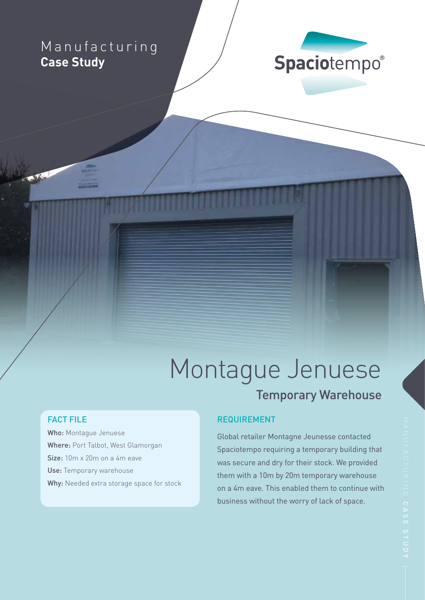# Manufacturing **Case Study**



# Montague Jenuese Temporary Warehouse

# FACT FILE

Who: Montague Jenuese Where: Port Talbot, West Glamorgan Size: 10m x 20m on a 4m eave Use: Temporary warehouse Why: Needed extra storage space for stock

## REQUIREMENT

Global retailer Montagne Jeunesse contacted Spaciotempo requiring a temporary building that was secure and dry for their stock. We provided them with a 10m by 20m temporary warehouse on a 4m eave. This enabled them to continue with business without the worry of lack of space.